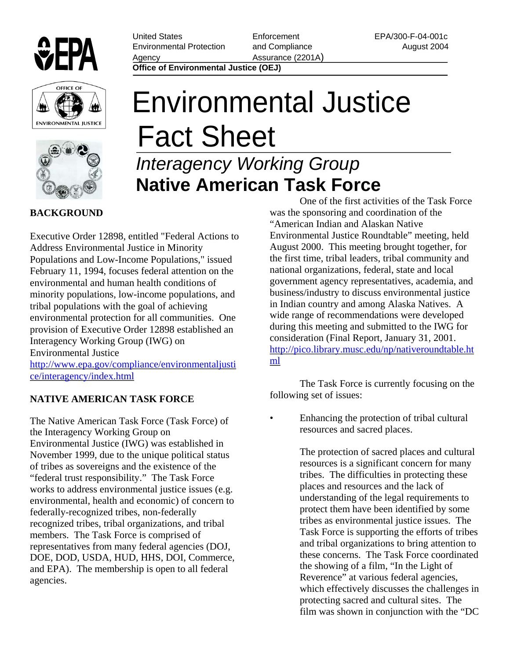

**ENVIRONMENTAL JUSTICE** 

United States Environmental Protection Agency

**Enforcement** and Compliance Assurance (2201A)

EPA/300-F-04-001c August 2004

**Office of Environmental Justice (OEJ)**

## Environmental Justice Fact Sheet

## *Interagency Working Group*  **Native American Task Force**

## **BACKGROUND**

Executive Order 12898, entitled "Federal Actions to Address Environmental Justice in Minority Populations and Low-Income Populations," issued February 11, 1994, focuses federal attention on the environmental and human health conditions of minority populations, low-income populations, and tribal populations with the goal of achieving environmental protection for all communities. One provision of Executive Order 12898 established an Interagency Working Group (IWG) on Environmental Justice <http://www.epa.gov/compliance/environmentaljusti> ce/interagency/index.html

**NATIVE AMERICAN TASK FORCE** 

The Native American Task Force (Task Force) of the Interagency Working Group on Environmental Justice (IWG) was established in November 1999, due to the unique political status of tribes as sovereigns and the existence of the "federal trust responsibility." The Task Force works to address environmental justice issues (e.g. environmental, health and economic) of concern to federally-recognized tribes, non-federally recognized tribes, tribal organizations, and tribal members. The Task Force is comprised of representatives from many federal agencies (DOJ, DOE, DOD, USDA, HUD, HHS, DOI, Commerce, and EPA). The membership is open to all federal agencies.

One of the first activities of the Task Force was the sponsoring and coordination of the "American Indian and Alaskan Native Environmental Justice Roundtable" meeting, held August 2000. This meeting brought together, for the first time, tribal leaders, tribal community and national organizations, federal, state and local government agency representatives, academia, and business/industry to discuss environmental justice in Indian country and among Alaska Natives. A wide range of recommendations were developed during this meeting and submitted to the IWG for consideration (Final Report, January 31, 2001. <http://pico.library.musc.edu/np/nativeroundtable.ht> ml

The Task Force is currently focusing on the following set of issues:

• Enhancing the protection of tribal cultural resources and sacred places.

> The protection of sacred places and cultural resources is a significant concern for many tribes. The difficulties in protecting these places and resources and the lack of understanding of the legal requirements to protect them have been identified by some tribes as environmental justice issues. The Task Force is supporting the efforts of tribes and tribal organizations to bring attention to these concerns. The Task Force coordinated the showing of a film, "In the Light of Reverence" at various federal agencies, which effectively discusses the challenges in protecting sacred and cultural sites. The film was shown in conjunction with the "DC